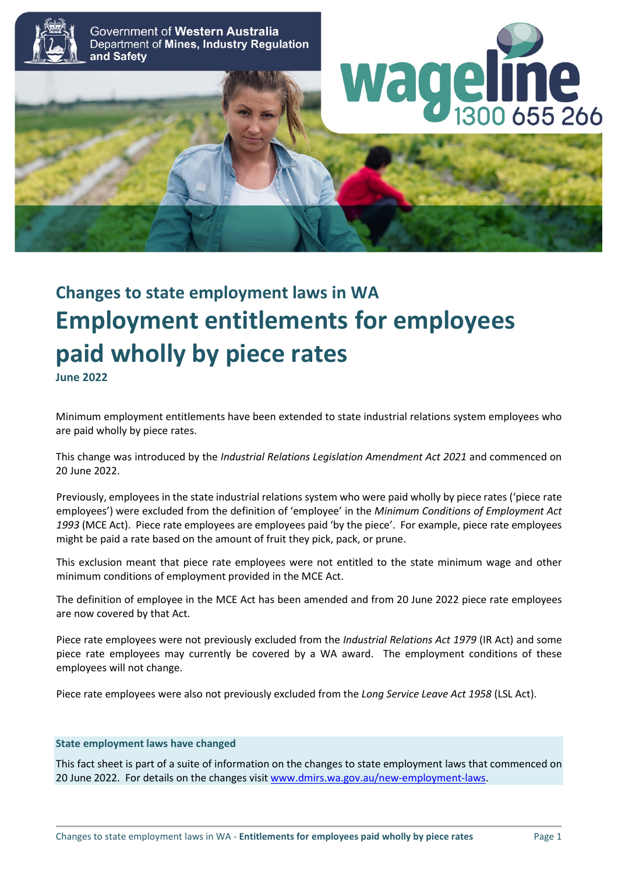

Government of Western Australia Department of Mines, Industry Regulation and Safety





# **Changes to state employment laws in WA Employment entitlements for employees paid wholly by piece rates June 2022**

Minimum employment entitlements have been extended to state industrial relations system employees who are paid wholly by piece rates.

This change was introduced by the *Industrial Relations Legislation Amendment Act 2021* and commenced on 20 June 2022.

Previously, employees in the state industrial relations system who were paid wholly by piece rates ('piece rate employees') were excluded from the definition of 'employee' in the *Minimum Conditions of Employment Act 1993* (MCE Act). Piece rate employees are employees paid 'by the piece'. For example, piece rate employees might be paid a rate based on the amount of fruit they pick, pack, or prune.

This exclusion meant that piece rate employees were not entitled to the state minimum wage and other minimum conditions of employment provided in the MCE Act.

The definition of employee in the MCE Act has been amended and from 20 June 2022 piece rate employees are now covered by that Act.

Piece rate employees were not previously excluded from the *Industrial Relations Act 1979* (IR Act) and some piece rate employees may currently be covered by a WA award. The employment conditions of these employees will not change.

Piece rate employees were also not previously excluded from the *Long Service Leave Act 1958* (LSL Act).

## **State employment laws have changed**

This fact sheet is part of a suite of information on the changes to state employment laws that commenced on 20 June 2022. For details on the changes visi[t www.dmirs.wa.gov.au/new-employment-laws.](http://www.dmirs.wa.gov.au/new-employment-laws)